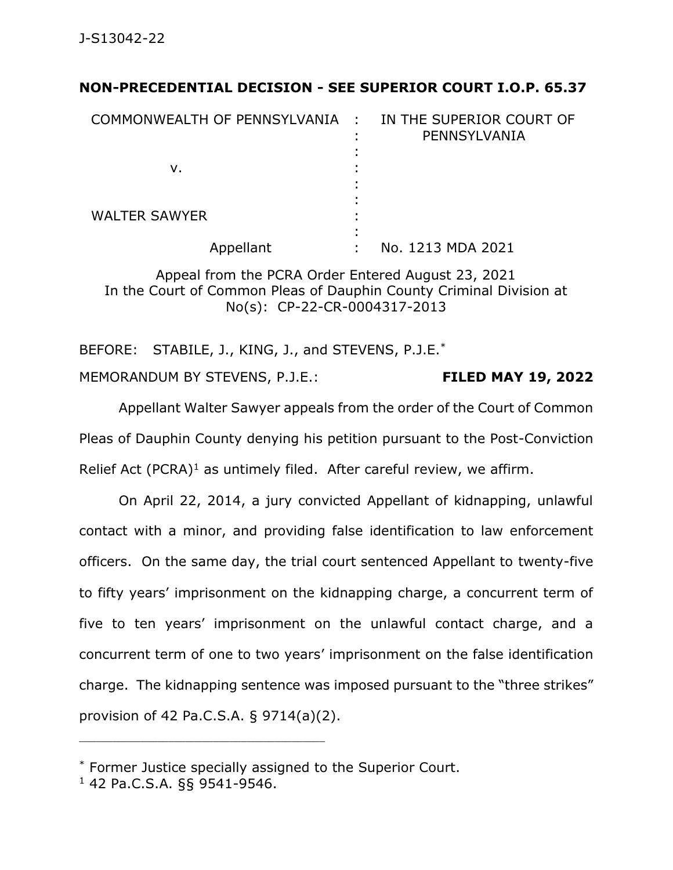## **NON-PRECEDENTIAL DECISION - SEE SUPERIOR COURT I.O.P. 65.37**

| COMMONWEALTH OF PENNSYLVANIA : |        | IN THE SUPERIOR COURT OF<br>PENNSYLVANIA |
|--------------------------------|--------|------------------------------------------|
| ν.                             |        |                                          |
| <b>WALTER SAWYER</b>           | ٠<br>٠ |                                          |
| Appellant                      | ٠      | No. 1213 MDA 2021                        |

Appeal from the PCRA Order Entered August 23, 2021 In the Court of Common Pleas of Dauphin County Criminal Division at No(s): CP-22-CR-0004317-2013

BEFORE: STABILE, J., KING, J., and STEVENS, P.J.E.<sup>\*</sup> MEMORANDUM BY STEVENS, P.J.E.: **FILED MAY 19, 2022**

Appellant Walter Sawyer appeals from the order of the Court of Common Pleas of Dauphin County denying his petition pursuant to the Post-Conviction Relief Act (PCRA)<sup>1</sup> as untimely filed. After careful review, we affirm.

On April 22, 2014, a jury convicted Appellant of kidnapping, unlawful contact with a minor, and providing false identification to law enforcement officers. On the same day, the trial court sentenced Appellant to twenty-five to fifty years' imprisonment on the kidnapping charge, a concurrent term of five to ten years' imprisonment on the unlawful contact charge, and a concurrent term of one to two years' imprisonment on the false identification charge. The kidnapping sentence was imposed pursuant to the "three strikes" provision of 42 Pa.C.S.A. § 9714(a)(2).

\_\_\_\_\_\_\_\_\_\_\_\_\_\_\_\_\_\_\_\_\_\_\_\_\_\_\_\_\_\_\_\_\_\_\_\_\_\_\_\_\_\_\_\_

<sup>\*</sup> Former Justice specially assigned to the Superior Court.

<sup>1</sup> 42 Pa.C.S.A. §§ 9541-9546.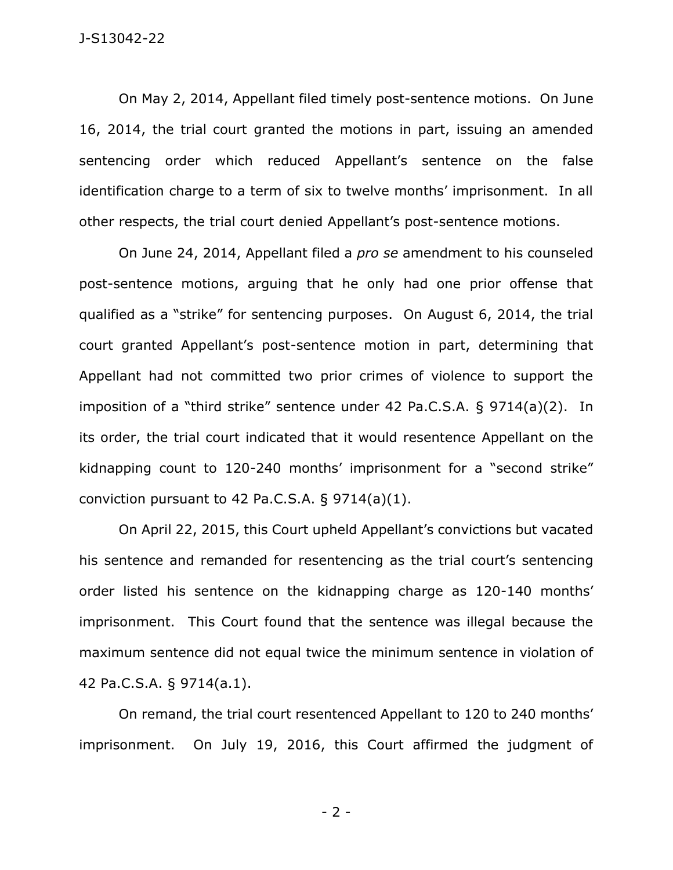On May 2, 2014, Appellant filed timely post-sentence motions. On June 16, 2014, the trial court granted the motions in part, issuing an amended sentencing order which reduced Appellant's sentence on the false identification charge to a term of six to twelve months' imprisonment. In all other respects, the trial court denied Appellant's post-sentence motions.

On June 24, 2014, Appellant filed a *pro se* amendment to his counseled post-sentence motions, arguing that he only had one prior offense that qualified as a "strike" for sentencing purposes. On August 6, 2014, the trial court granted Appellant's post-sentence motion in part, determining that Appellant had not committed two prior crimes of violence to support the imposition of a "third strike" sentence under 42 Pa.C.S.A. § 9714(a)(2). In its order, the trial court indicated that it would resentence Appellant on the kidnapping count to 120-240 months' imprisonment for a "second strike" conviction pursuant to 42 Pa.C.S.A.  $\S 9714(a)(1)$ .

On April 22, 2015, this Court upheld Appellant's convictions but vacated his sentence and remanded for resentencing as the trial court's sentencing order listed his sentence on the kidnapping charge as 120-140 months' imprisonment. This Court found that the sentence was illegal because the maximum sentence did not equal twice the minimum sentence in violation of 42 Pa.C.S.A. § 9714(a.1).

On remand, the trial court resentenced Appellant to 120 to 240 months' imprisonment. On July 19, 2016, this Court affirmed the judgment of

- 2 -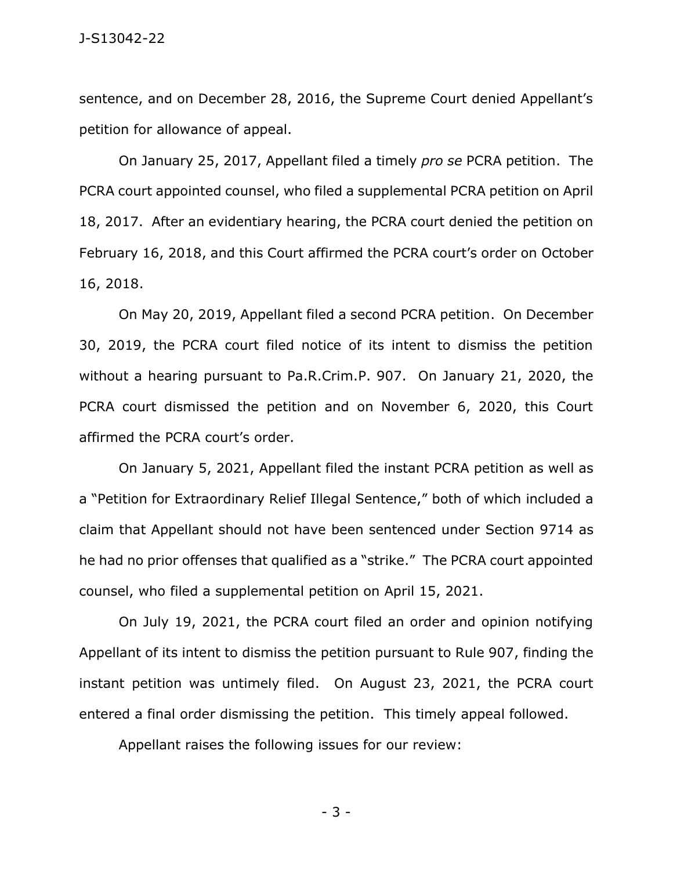sentence, and on December 28, 2016, the Supreme Court denied Appellant's petition for allowance of appeal.

On January 25, 2017, Appellant filed a timely *pro se* PCRA petition. The PCRA court appointed counsel, who filed a supplemental PCRA petition on April 18, 2017. After an evidentiary hearing, the PCRA court denied the petition on February 16, 2018, and this Court affirmed the PCRA court's order on October 16, 2018.

On May 20, 2019, Appellant filed a second PCRA petition. On December 30, 2019, the PCRA court filed notice of its intent to dismiss the petition without a hearing pursuant to Pa.R.Crim.P. 907. On January 21, 2020, the PCRA court dismissed the petition and on November 6, 2020, this Court affirmed the PCRA court's order.

On January 5, 2021, Appellant filed the instant PCRA petition as well as a "Petition for Extraordinary Relief Illegal Sentence," both of which included a claim that Appellant should not have been sentenced under Section 9714 as he had no prior offenses that qualified as a "strike." The PCRA court appointed counsel, who filed a supplemental petition on April 15, 2021.

On July 19, 2021, the PCRA court filed an order and opinion notifying Appellant of its intent to dismiss the petition pursuant to Rule 907, finding the instant petition was untimely filed. On August 23, 2021, the PCRA court entered a final order dismissing the petition. This timely appeal followed.

Appellant raises the following issues for our review:

- 3 -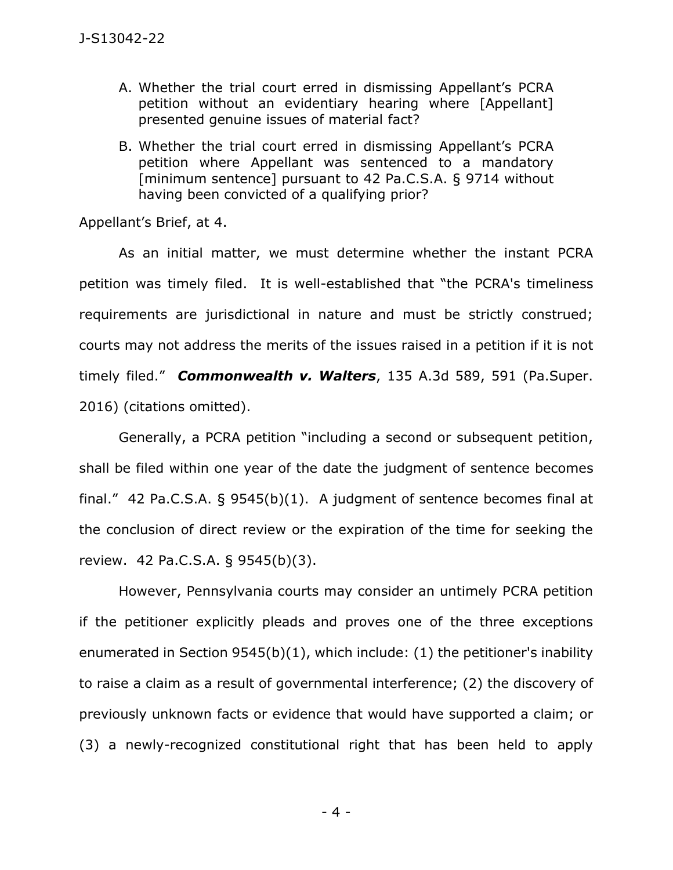- A. Whether the trial court erred in dismissing Appellant's PCRA petition without an evidentiary hearing where [Appellant] presented genuine issues of material fact?
- B. Whether the trial court erred in dismissing Appellant's PCRA petition where Appellant was sentenced to a mandatory [minimum sentence] pursuant to 42 Pa.C.S.A. § 9714 without having been convicted of a qualifying prior?

Appellant's Brief, at 4.

As an initial matter, we must determine whether the instant PCRA petition was timely filed. It is well-established that "the PCRA's timeliness requirements are jurisdictional in nature and must be strictly construed; courts may not address the merits of the issues raised in a petition if it is not timely filed." *Commonwealth v. Walters*, 135 A.3d 589, 591 (Pa.Super. 2016) (citations omitted).

Generally, a PCRA petition "including a second or subsequent petition, shall be filed within one year of the date the judgment of sentence becomes final." 42 Pa.C.S.A.  $\S$  9545(b)(1). A judgment of sentence becomes final at the conclusion of direct review or the expiration of the time for seeking the review. 42 Pa.C.S.A. § 9545(b)(3).

However, Pennsylvania courts may consider an untimely PCRA petition if the petitioner explicitly pleads and proves one of the three exceptions enumerated in Section 9545(b)(1), which include: (1) the petitioner's inability to raise a claim as a result of governmental interference; (2) the discovery of previously unknown facts or evidence that would have supported a claim; or (3) a newly-recognized constitutional right that has been held to apply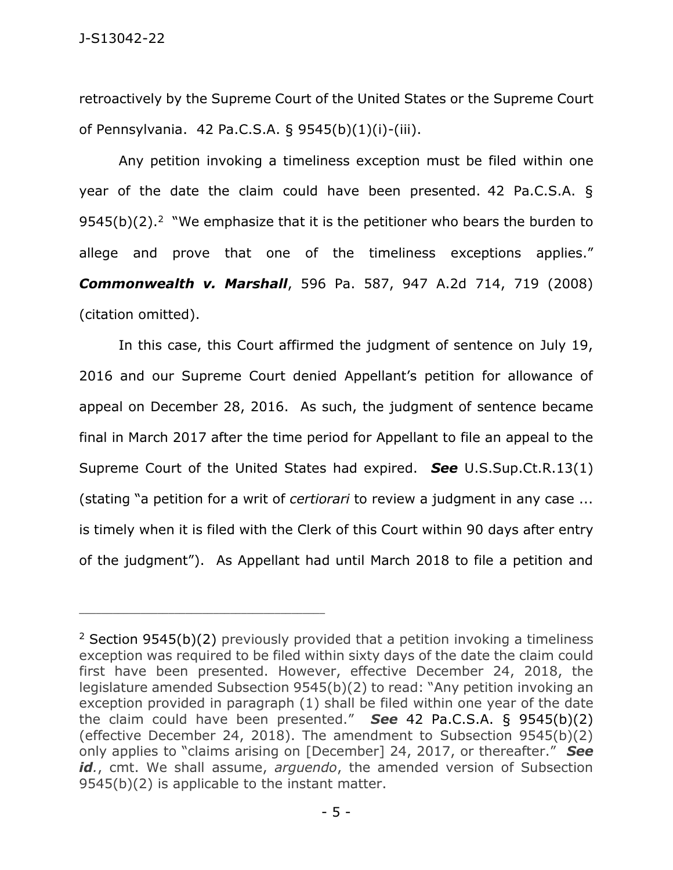retroactively by the Supreme Court of the United States or the Supreme Court of Pennsylvania. 42 Pa.C.S.A. § 9545(b)(1)(i)-(iii).

Any petition invoking a timeliness exception must be filed within one year of the date the claim could have been presented. 42 Pa.C.S.A. §  $9545(b)(2).<sup>2</sup>$  "We emphasize that it is the petitioner who bears the burden to allege and prove that one of the timeliness exceptions applies." *Commonwealth v. Marshall*, 596 Pa. 587, 947 A.2d 714, 719 (2008) (citation omitted).

In this case, this Court affirmed the judgment of sentence on July 19, 2016 and our Supreme Court denied Appellant's petition for allowance of appeal on December 28, 2016. As such, the judgment of sentence became final in March 2017 after the time period for Appellant to file an appeal to the Supreme Court of the United States had expired. *See* U.S.Sup.Ct.R.13(1) (stating "a petition for a writ of *certiorari* to review a judgment in any case ... is timely when it is filed with the Clerk of this Court within 90 days after entry of the judgment"). As Appellant had until March 2018 to file a petition and

\_\_\_\_\_\_\_\_\_\_\_\_\_\_\_\_\_\_\_\_\_\_\_\_\_\_\_\_\_\_\_\_\_\_\_\_\_\_\_\_\_\_\_\_

<sup>&</sup>lt;sup>2</sup> Section 9545(b)(2) previously provided that a petition invoking a timeliness exception was required to be filed within sixty days of the date the claim could first have been presented. However, effective December 24, 2018, the legislature amended Subsection 9545(b)(2) to read: "Any petition invoking an exception provided in paragraph (1) shall be filed within one year of the date the claim could have been presented." *See* 42 Pa.C.S.A. § 9545(b)(2) (effective December 24, 2018). The amendment to Subsection 9545(b)(2) only applies to "claims arising on [December] 24, 2017, or thereafter." *See* id., cmt. We shall assume, *arguendo*, the amended version of Subsection 9545(b)(2) is applicable to the instant matter.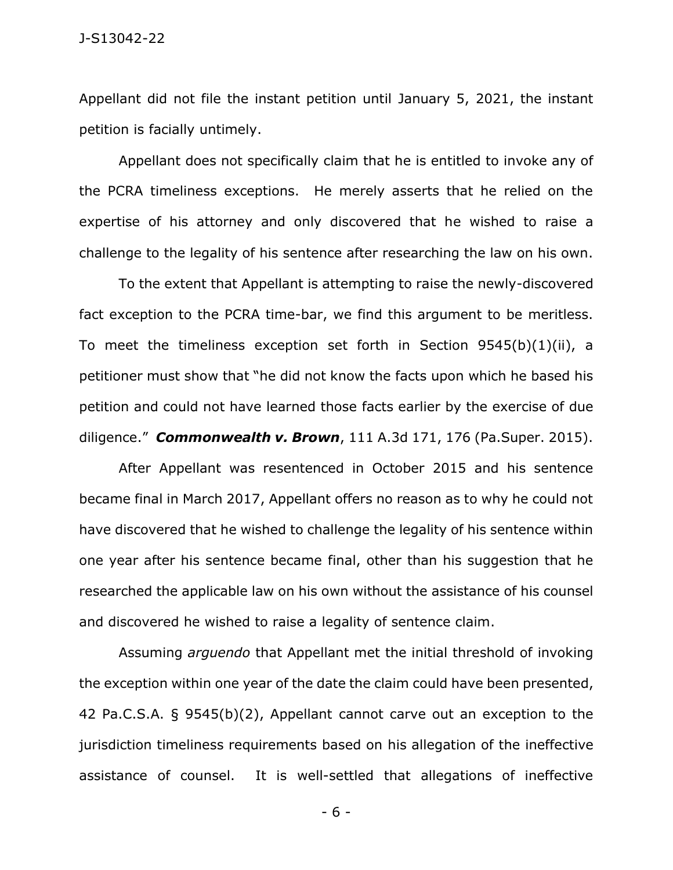Appellant did not file the instant petition until January 5, 2021, the instant petition is facially untimely.

Appellant does not specifically claim that he is entitled to invoke any of the PCRA timeliness exceptions. He merely asserts that he relied on the expertise of his attorney and only discovered that he wished to raise a challenge to the legality of his sentence after researching the law on his own.

To the extent that Appellant is attempting to raise the newly-discovered fact exception to the PCRA time-bar, we find this argument to be meritless. To meet the timeliness exception set forth in Section 9545(b)(1)(ii), a petitioner must show that "he did not know the facts upon which he based his petition and could not have learned those facts earlier by the exercise of due diligence." *Commonwealth v. Brown*, 111 A.3d 171, 176 (Pa.Super. 2015).

After Appellant was resentenced in October 2015 and his sentence became final in March 2017, Appellant offers no reason as to why he could not have discovered that he wished to challenge the legality of his sentence within one year after his sentence became final, other than his suggestion that he researched the applicable law on his own without the assistance of his counsel and discovered he wished to raise a legality of sentence claim.

Assuming *arguendo* that Appellant met the initial threshold of invoking the exception within one year of the date the claim could have been presented, 42 Pa.C.S.A. § 9545(b)(2), Appellant cannot carve out an exception to the jurisdiction timeliness requirements based on his allegation of the ineffective assistance of counsel. It is well-settled that allegations of ineffective

- 6 -